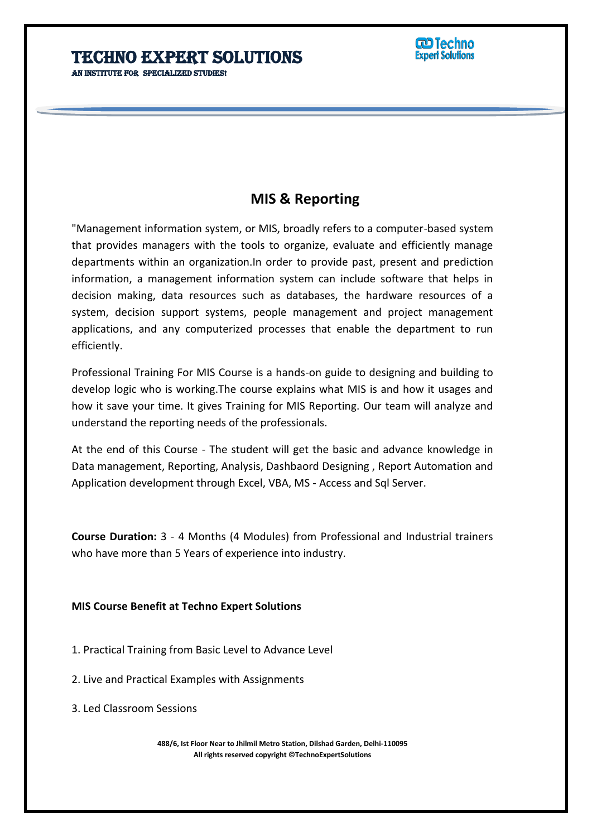AN INSTITUTE FOR SPECIALIZED STUDIES!

# **MIS & Reporting**

"Management information system, or MIS, broadly refers to a computer-based system that provides managers with the tools to organize, evaluate and efficiently manage departments within an organization.In order to provide past, present and prediction information, a management information system can include software that helps in decision making, data resources such as databases, the hardware resources of a system, decision support systems, people management and project management applications, and any computerized processes that enable the department to run efficiently.

j

Professional Training For MIS Course is a hands-on guide to designing and building to develop logic who is working.The course explains what MIS is and how it usages and how it save your time. It gives Training for MIS Reporting. Our team will analyze and understand the reporting needs of the professionals.

At the end of this Course - The student will get the basic and advance knowledge in Data management, Reporting, Analysis, Dashbaord Designing , Report Automation and Application development through Excel, VBA, MS - Access and Sql Server.

**Course Duration:** 3 - 4 Months (4 Modules) from Professional and Industrial trainers who have more than 5 Years of experience into industry.

### **MIS Course Benefit at Techno Expert Solutions**

- 1. Practical Training from Basic Level to Advance Level
- 2. Live and Practical Examples with Assignments
- 3. Led Classroom Sessions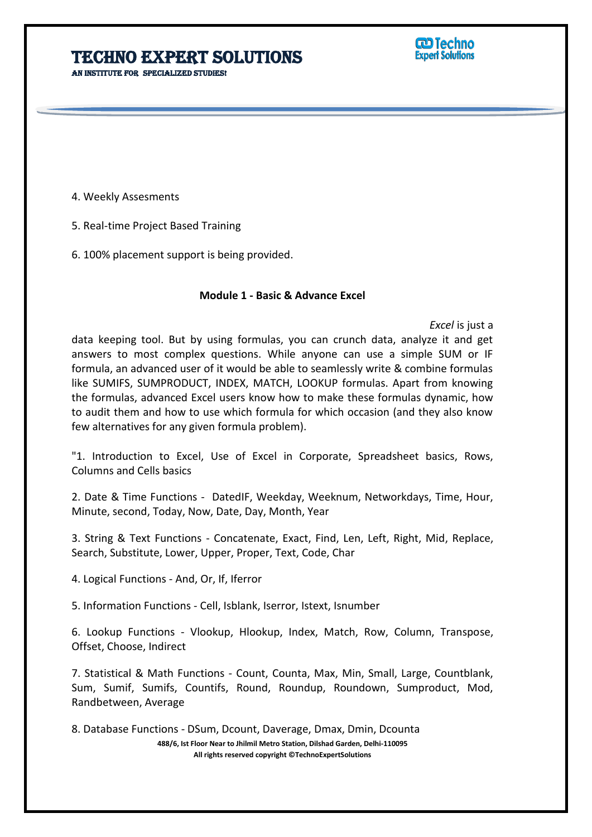AN INSTITUTE FOR SPECIALIZED STUDIES!

**CD Techno Expert Solutions** 

4. Weekly Assesments

5. Real-time Project Based Training

6. 100% placement support is being provided.

#### **Module 1 - Basic & Advance Excel**

j

*Excel* is just a

data keeping tool. But by using formulas, you can crunch data, analyze it and get answers to most complex questions. While anyone can use a simple SUM or IF formula, an advanced user of it would be able to seamlessly write & combine formulas like SUMIFS, SUMPRODUCT, INDEX, MATCH, LOOKUP formulas. Apart from knowing the formulas, advanced Excel users know how to make these formulas dynamic, how to audit them and how to use which formula for which occasion (and they also know few alternatives for any given formula problem).

"1. Introduction to Excel, Use of Excel in Corporate, Spreadsheet basics, Rows, Columns and Cells basics

2. Date & Time Functions - DatedIF, Weekday, Weeknum, Networkdays, Time, Hour, Minute, second, Today, Now, Date, Day, Month, Year

3. String & Text Functions - Concatenate, Exact, Find, Len, Left, Right, Mid, Replace, Search, Substitute, Lower, Upper, Proper, Text, Code, Char

4. Logical Functions - And, Or, If, Iferror

5. Information Functions - Cell, Isblank, Iserror, Istext, Isnumber

6. Lookup Functions - Vlookup, Hlookup, Index, Match, Row, Column, Transpose, Offset, Choose, Indirect

7. Statistical & Math Functions - Count, Counta, Max, Min, Small, Large, Countblank, Sum, Sumif, Sumifs, Countifs, Round, Roundup, Roundown, Sumproduct, Mod, Randbetween, Average

8. Database Functions - DSum, Dcount, Daverage, Dmax, Dmin, Dcounta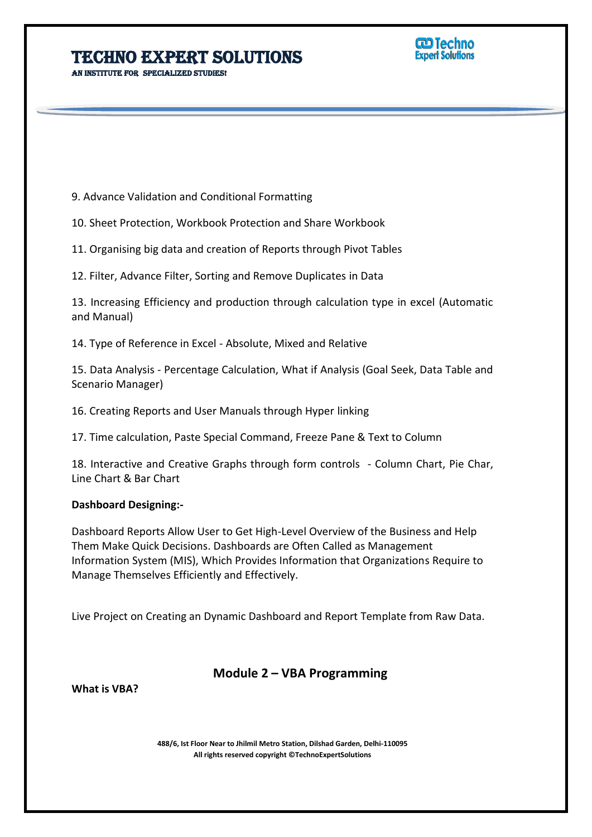AN INSTITUTE FOR SPECIALIZED STUDIES!

**CD Techno Expert Solutions** 

9. Advance Validation and Conditional Formatting

10. Sheet Protection, Workbook Protection and Share Workbook

11. Organising big data and creation of Reports through Pivot Tables

12. Filter, Advance Filter, Sorting and Remove Duplicates in Data

13. Increasing Efficiency and production through calculation type in excel (Automatic and Manual)

j

14. Type of Reference in Excel - Absolute, Mixed and Relative

15. Data Analysis - Percentage Calculation, What if Analysis (Goal Seek, Data Table and Scenario Manager)

16. Creating Reports and User Manuals through Hyper linking

17. Time calculation, Paste Special Command, Freeze Pane & Text to Column

18. Interactive and Creative Graphs through form controls - Column Chart, Pie Char, Line Chart & Bar Chart

#### **Dashboard Designing:-**

Dashboard Reports Allow User to Get High-Level Overview of the Business and Help Them Make Quick Decisions. Dashboards are Often Called as Management Information System (MIS), Which Provides Information that Organizations Require to Manage Themselves Efficiently and Effectively.

Live Project on Creating an Dynamic Dashboard and Report Template from Raw Data.

### **Module 2 – VBA Programming**

**What is VBA?**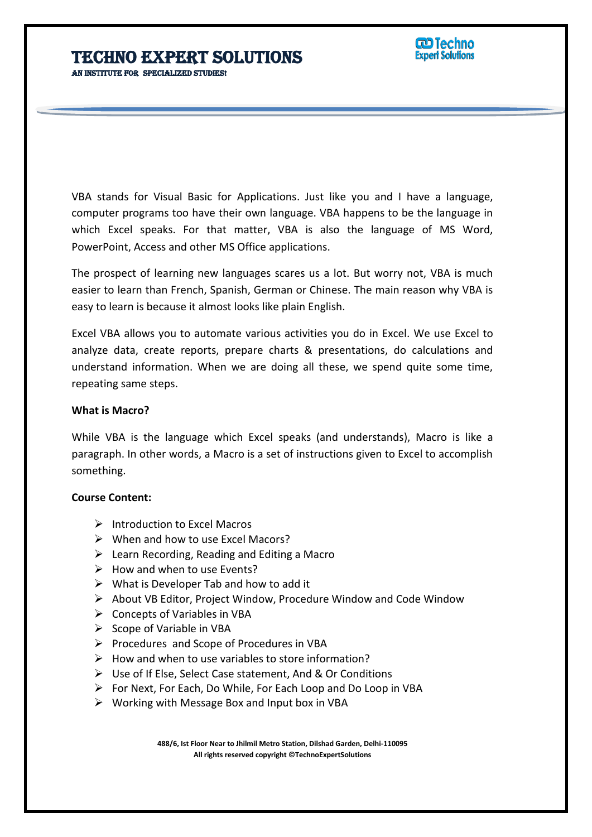AN INSTITUTE FOR SPECIALIZED STUDIES!

VBA stands for Visual Basic for Applications. Just like you and I have a language, computer programs too have their own language. VBA happens to be the language in which Excel speaks. For that matter, VBA is also the language of MS Word, PowerPoint, Access and other MS Office applications.

j

The prospect of learning new languages scares us a lot. But worry not, VBA is much easier to learn than French, Spanish, German or Chinese. The main reason why VBA is easy to learn is because it almost looks like plain English.

Excel VBA allows you to automate various activities you do in Excel. We use Excel to analyze data, create reports, prepare charts & presentations, do calculations and understand information. When we are doing all these, we spend quite some time, repeating same steps.

### **What is Macro?**

While VBA is the language which Excel speaks (and understands), Macro is like a paragraph. In other words, a Macro is a set of instructions given to Excel to accomplish something.

### **Course Content:**

- $\triangleright$  Introduction to Excel Macros
- $\triangleright$  When and how to use Excel Macors?
- $\triangleright$  Learn Recording, Reading and Editing a Macro
- $\triangleright$  How and when to use Events?
- $\triangleright$  What is Developer Tab and how to add it
- $\triangleright$  About VB Editor, Project Window, Procedure Window and Code Window
- $\triangleright$  Concepts of Variables in VBA
- $\triangleright$  Scope of Variable in VBA
- $\triangleright$  Procedures and Scope of Procedures in VBA
- $\triangleright$  How and when to use variables to store information?
- Use of If Else, Select Case statement, And & Or Conditions
- $\triangleright$  For Next, For Each, Do While, For Each Loop and Do Loop in VBA
- $\triangleright$  Working with Message Box and Input box in VBA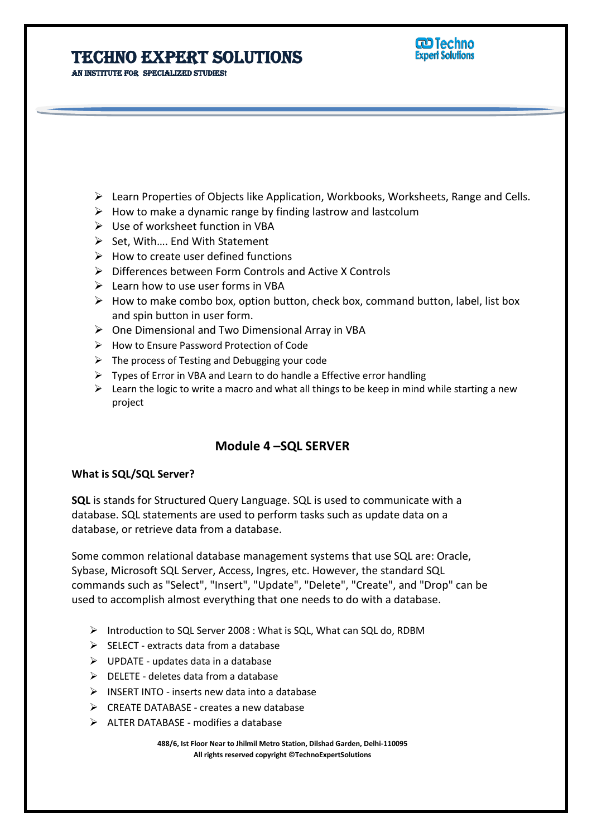**CD Techno Expert Solutions** 

AN INSTITUTE FOR SPECIALIZED STUDIES!

 $\triangleright$  Learn Properties of Objects like Application, Workbooks, Worksheets, Range and Cells.

j

- $\triangleright$  How to make a dynamic range by finding lastrow and lastcolum
- Use of worksheet function in VBA
- $\triangleright$  Set, With.... End With Statement
- $\triangleright$  How to create user defined functions
- Differences between Form Controls and Active X Controls
- $\triangleright$  Learn how to use user forms in VBA
- $\triangleright$  How to make combo box, option button, check box, command button, label, list box and spin button in user form.
- $\triangleright$  One Dimensional and Two Dimensional Array in VBA
- $\triangleright$  How to Ensure Password Protection of Code
- $\triangleright$  The process of Testing and Debugging your code
- $\triangleright$  Types of Error in VBA and Learn to do handle a Effective error handling
- $\triangleright$  Learn the logic to write a macro and what all things to be keep in mind while starting a new project

### **Module 4 –SQL SERVER**

#### **What is SQL/SQL Server?**

**SQL** is stands for Structured Query Language. SQL is used to communicate with a database. SQL statements are used to perform tasks such as update data on a database, or retrieve data from a database.

Some common relational database management systems that use SQL are: Oracle, Sybase, Microsoft SQL Server, Access, Ingres, etc. However, the standard SQL commands such as "Select", "Insert", "Update", "Delete", "Create", and "Drop" can be used to accomplish almost everything that one needs to do with a database.

- > Introduction to SQL Server 2008 : What is SQL, What can SQL do, RDBM
- $\triangleright$  SELECT extracts data from a database
- $\triangleright$  UPDATE updates data in a database
- $\triangleright$  DELETE deletes data from a database
- $\triangleright$  INSERT INTO inserts new data into a database
- $\triangleright$  CREATE DATABASE creates a new database
- $\triangleright$  ALTER DATABASE modifies a database